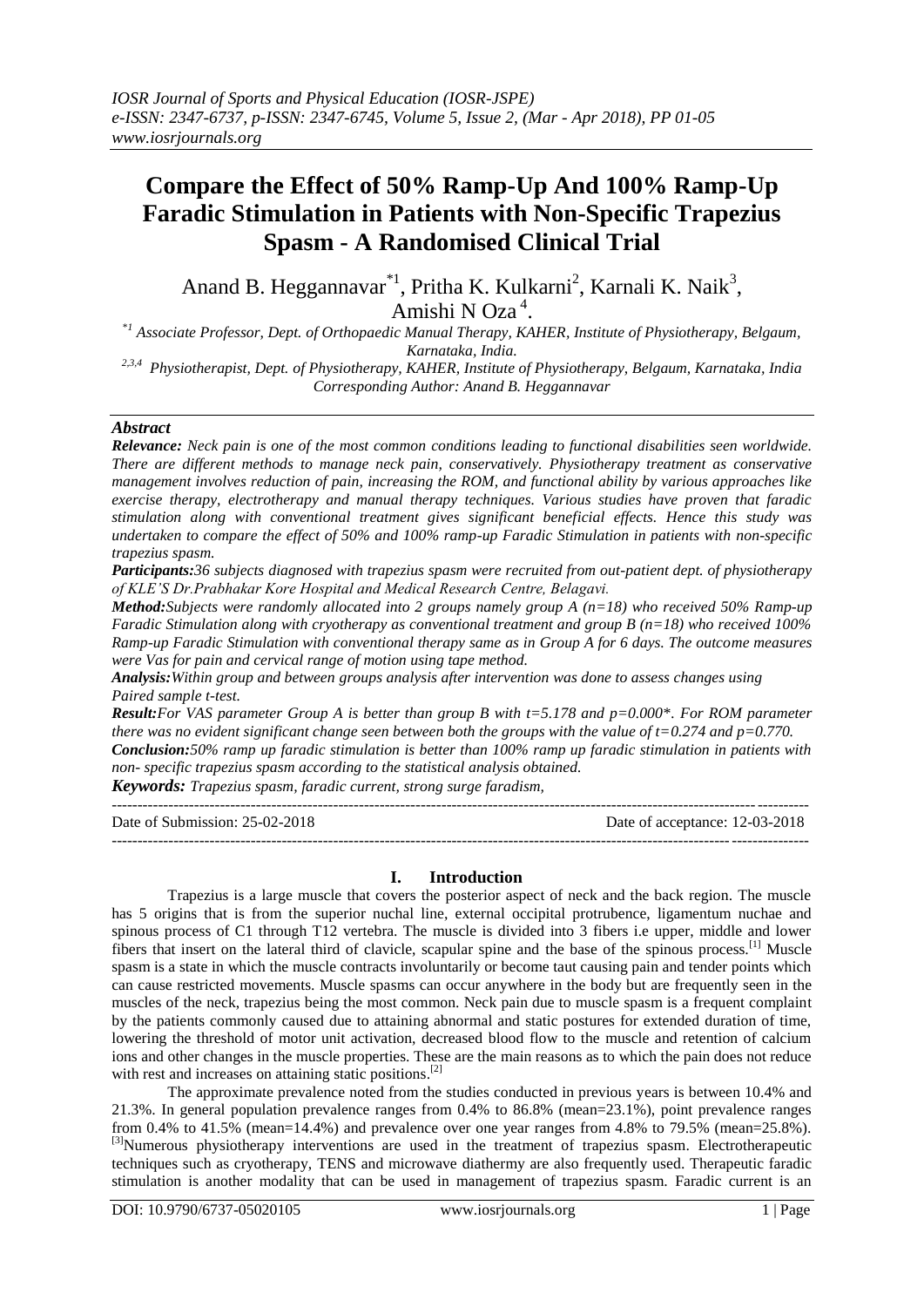# **Compare the Effect of 50% Ramp-Up And 100% Ramp-Up Faradic Stimulation in Patients with Non-Specific Trapezius Spasm - A Randomised Clinical Trial**

Anand B. Heggannavar<sup>\*1</sup>, Pritha K. Kulkarni<sup>2</sup>, Karnali K. Naik<sup>3</sup>,

Amishi N Oza<sup>4</sup>.

\**<sup>1</sup> Associate Professor, Dept. of Orthopaedic Manual Therapy, KAHER, Institute of Physiotherapy, Belgaum, Karnataka, India.*

*2,3,4 Physiotherapist, Dept. of Physiotherapy, KAHER, Institute of Physiotherapy, Belgaum, Karnataka, India Corresponding Author: Anand B. Heggannavar*

#### *Abstract*

*Relevance: Neck pain is one of the most common conditions leading to functional disabilities seen worldwide. There are different methods to manage neck pain, conservatively. Physiotherapy treatment as conservative management involves reduction of pain, increasing the ROM, and functional ability by various approaches like exercise therapy, electrotherapy and manual therapy techniques. Various studies have proven that faradic stimulation along with conventional treatment gives significant beneficial effects. Hence this study was undertaken to compare the effect of 50% and 100% ramp-up Faradic Stimulation in patients with non-specific trapezius spasm.*

*Participants:36 subjects diagnosed with trapezius spasm were recruited from out-patient dept. of physiotherapy of KLE'S Dr.Prabhakar Kore Hospital and Medical Research Centre, Belagavi.* 

*Method:Subjects were randomly allocated into 2 groups namely group A (n=18) who received 50% Ramp-up Faradic Stimulation along with cryotherapy as conventional treatment and group B (n=18) who received 100% Ramp-up Faradic Stimulation with conventional therapy same as in Group A for 6 days. The outcome measures were Vas for pain and cervical range of motion using tape method.*

*Analysis:Within group and between groups analysis after intervention was done to assess changes using Paired sample t-test.*

*Result:For VAS parameter Group A is better than group B with t=5.178 and p=0.000\*. For ROM parameter there was no evident significant change seen between both the groups with the value of t=0.274 and p=0.770. Conclusion:50% ramp up faradic stimulation is better than 100% ramp up faradic stimulation in patients with non- specific trapezius spasm according to the statistical analysis obtained.* 

*Keywords: Trapezius spasm, faradic current, strong surge faradism,*

| Date of Submission: $25-02-2018$ | Date of acceptance: 12-03-2018 |
|----------------------------------|--------------------------------|
|                                  |                                |

## **I. Introduction**

Trapezius is a large muscle that covers the posterior aspect of neck and the back region. The muscle has 5 origins that is from the superior nuchal line, external occipital protrubence, ligamentum nuchae and spinous process of C1 through T12 vertebra. The muscle is divided into 3 fibers i.e upper, middle and lower fibers that insert on the lateral third of clavicle, scapular spine and the base of the spinous process.[1] Muscle spasm is a state in which the muscle contracts involuntarily or become taut causing pain and tender points which can cause restricted movements. Muscle spasms can occur anywhere in the body but are frequently seen in the muscles of the neck, trapezius being the most common. Neck pain due to muscle spasm is a frequent complaint by the patients commonly caused due to attaining abnormal and static postures for extended duration of time, lowering the threshold of motor unit activation, decreased blood flow to the muscle and retention of calcium ions and other changes in the muscle properties. These are the main reasons as to which the pain does not reduce with rest and increases on attaining static positions.<sup>[2]</sup>

The approximate prevalence noted from the studies conducted in previous years is between 10.4% and 21.3%. In general population prevalence ranges from 0.4% to 86.8% (mean=23.1%), point prevalence ranges from 0.4% to 41.5% (mean=14.4%) and prevalence over one year ranges from 4.8% to 79.5% (mean=25.8%). <sup>[3]</sup>Numerous physiotherapy interventions are used in the treatment of trapezius spasm. Electrotherapeutic techniques such as cryotherapy, TENS and microwave diathermy are also frequently used. Therapeutic faradic stimulation is another modality that can be used in management of trapezius spasm. Faradic current is an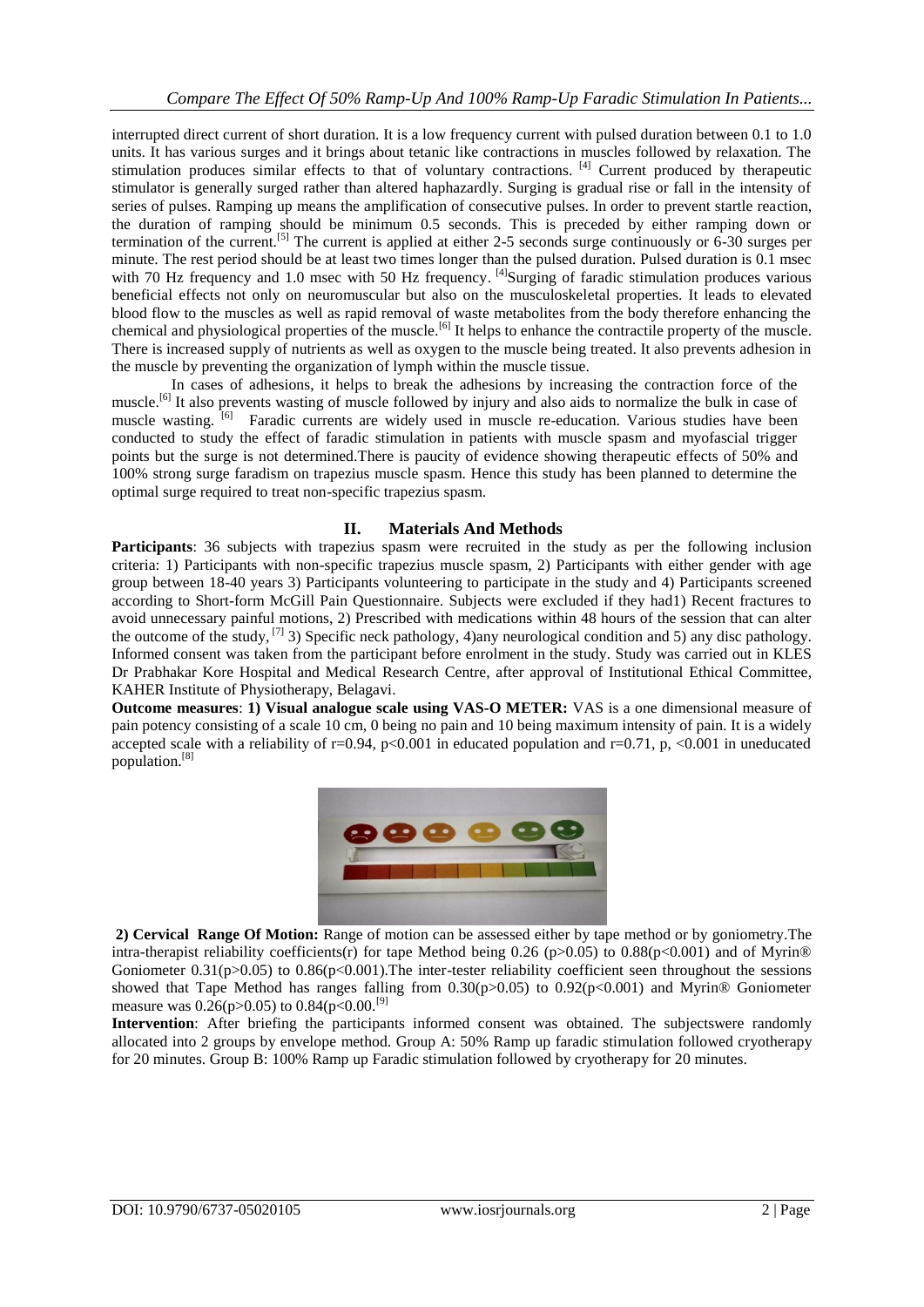interrupted direct current of short duration. It is a low frequency current with pulsed duration between 0.1 to 1.0 units. It has various surges and it brings about tetanic like contractions in muscles followed by relaxation. The stimulation produces similar effects to that of voluntary contractions. [4] Current produced by therapeutic stimulator is generally surged rather than altered haphazardly. Surging is gradual rise or fall in the intensity of series of pulses. Ramping up means the amplification of consecutive pulses. In order to prevent startle reaction, the duration of ramping should be minimum 0.5 seconds. This is preceded by either ramping down or termination of the current.<sup>[5]</sup> The current is applied at either 2-5 seconds surge continuously or  $6-30$  surges per minute. The rest period should be at least two times longer than the pulsed duration. Pulsed duration is 0.1 msec with 70 Hz frequency and 1.0 msec with 50 Hz frequency. [4] Surging of faradic stimulation produces various beneficial effects not only on neuromuscular but also on the musculoskeletal properties. It leads to elevated blood flow to the muscles as well as rapid removal of waste metabolites from the body therefore enhancing the chemical and physiological properties of the muscle.<sup>[6]</sup> It helps to enhance the contractile property of the muscle. There is increased supply of nutrients as well as oxygen to the muscle being treated. It also prevents adhesion in the muscle by preventing the organization of lymph within the muscle tissue.

In cases of adhesions, it helps to break the adhesions by increasing the contraction force of the muscle.<sup>[6]</sup> It also prevents wasting of muscle followed by injury and also aids to normalize the bulk in case of muscle wasting. <sup>[6]</sup> Faradic currents are widely used in muscle re-education. Various studies have been conducted to study the effect of faradic stimulation in patients with muscle spasm and myofascial trigger points but the surge is not determined.There is paucity of evidence showing therapeutic effects of 50% and 100% strong surge faradism on trapezius muscle spasm. Hence this study has been planned to determine the optimal surge required to treat non-specific trapezius spasm.

## **II. Materials And Methods**

**Participants**: 36 subjects with trapezius spasm were recruited in the study as per the following inclusion criteria: 1) Participants with non-specific trapezius muscle spasm, 2) Participants with either gender with age group between 18-40 years 3) Participants volunteering to participate in the study and 4) Participants screened according to Short-form McGill Pain Questionnaire. Subjects were excluded if they had1) Recent fractures to avoid unnecessary painful motions, 2) Prescribed with medications within 48 hours of the session that can alter the outcome of the study,  $^{[7]}$  3) Specific neck pathology, 4)any neurological condition and 5) any disc pathology. Informed consent was taken from the participant before enrolment in the study. Study was carried out in KLES Dr Prabhakar Kore Hospital and Medical Research Centre, after approval of Institutional Ethical Committee, KAHER Institute of Physiotherapy, Belagavi.

**Outcome measures**: **1) Visual analogue scale using VAS-O METER:** VAS is a one dimensional measure of pain potency consisting of a scale 10 cm, 0 being no pain and 10 being maximum intensity of pain. It is a widely accepted scale with a reliability of r=0.94, p<0.001 in educated population and r=0.71, p, <0.001 in uneducated population.[8]



**2) Cervical Range Of Motion:** Range of motion can be assessed either by tape method or by goniometry.The intra-therapist reliability coefficients(r) for tape Method being 0.26 (p>0.05) to 0.88(p<0.001) and of Myrin® Goniometer  $0.31(p>0.05)$  to  $0.86(p<0.001)$ . The inter-tester reliability coefficient seen throughout the sessions showed that Tape Method has ranges falling from  $0.30(p>0.05)$  to  $0.92(p<0.001)$  and Myrin® Goniometer measure was 0.26(p>0.05) to 0.84(p<0.00.<sup>[9]</sup>

**Intervention**: After briefing the participants informed consent was obtained. The subjectswere randomly allocated into 2 groups by envelope method. Group A: 50% Ramp up faradic stimulation followed cryotherapy for 20 minutes. Group B: 100% Ramp up Faradic stimulation followed by cryotherapy for 20 minutes.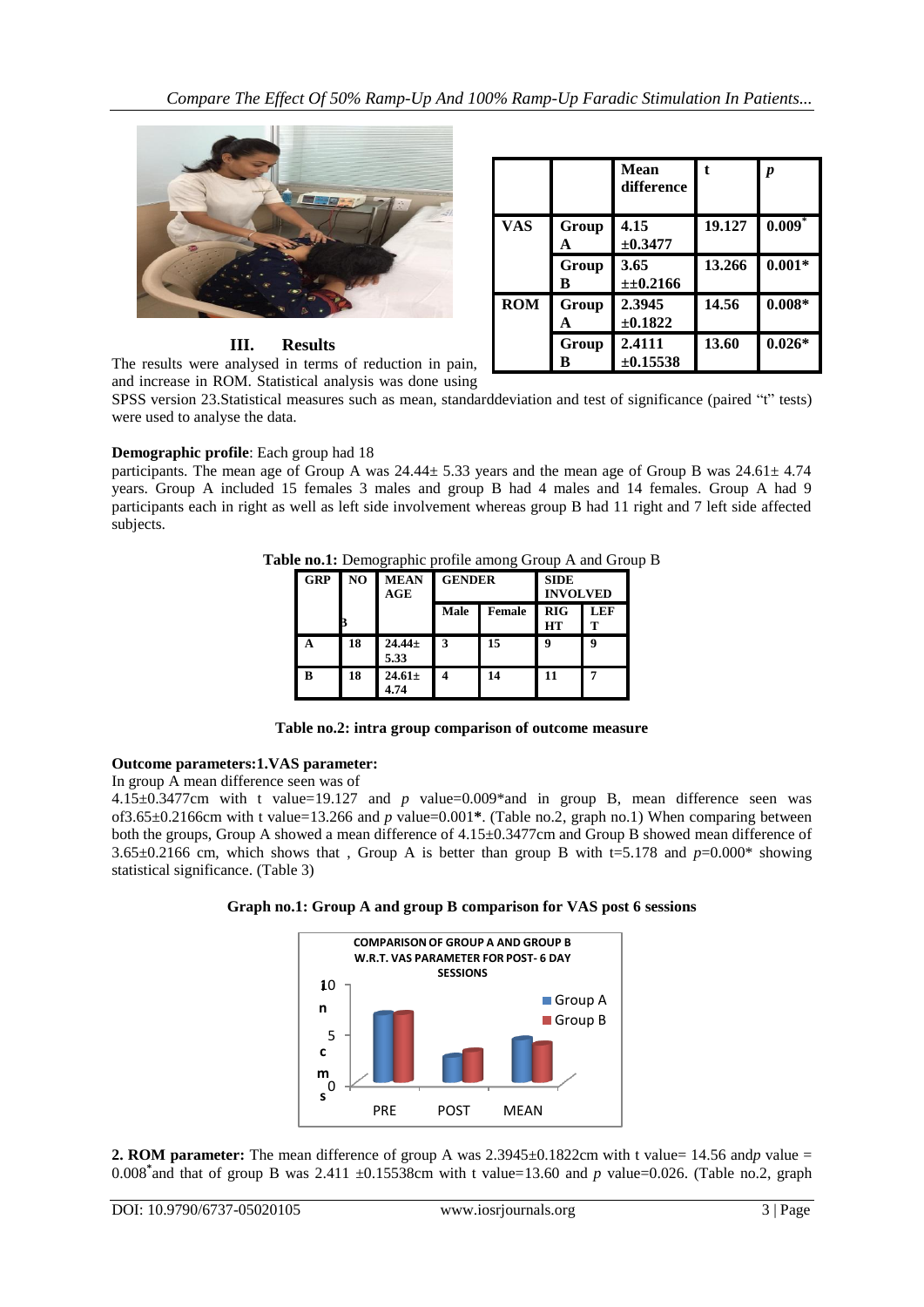

## **III. Results**

The results were analysed in terms of reduction in pain, and increase in ROM. Statistical analysis was done using

|            |            | Mean<br>difference      |        | p        |
|------------|------------|-------------------------|--------|----------|
| <b>VAS</b> | Group<br>А | 4.15<br>$\pm 0.3477$    | 19.127 | $0.009*$ |
|            | Group<br>B | 3.65<br>±±0.2166        | 13.266 | $0.001*$ |
| <b>ROM</b> | Group<br>A | 2.3945<br>$\pm 0.1822$  | 14.56  | $0.008*$ |
|            | Group<br>в | 2.4111<br>$\pm 0.15538$ | 13.60  | $0.026*$ |

SPSS version 23.Statistical measures such as mean, standarddeviation and test of significance (paired "t" tests) were used to analyse the data.

## **Demographic profile**: Each group had 18

participants. The mean age of Group A was  $24.44 \pm 5.33$  years and the mean age of Group B was  $24.61 \pm 4.74$ years. Group A included 15 females 3 males and group B had 4 males and 14 females. Group A had 9 participants each in right as well as left side involvement whereas group B had 11 right and 7 left side affected subjects.

| <b>GRP</b> | N <sub>O</sub> | <b>MEAN</b><br>AGE  | <b>GENDER</b> |               | $\mu$ and $\mu$ is the started profile alliest $\mu$ or $\mu$ and $\sigma$<br><b>SIDE</b><br><b>INVOLVED</b> |            |
|------------|----------------|---------------------|---------------|---------------|--------------------------------------------------------------------------------------------------------------|------------|
|            |                |                     | Male          | <b>Female</b> | <b>RIG</b><br><b>HT</b>                                                                                      | <b>LEF</b> |
|            | 18             | $24.44 \pm$<br>5.33 |               | 15            |                                                                                                              |            |

**B 18 24.61±**

**4.74**

**Table no.1:** Demographic profile among Group A and Group B

|  | Table no.2: intra group comparison of outcome measure |  |
|--|-------------------------------------------------------|--|
|--|-------------------------------------------------------|--|

**4 14 11 7**

## **Outcome parameters:1.VAS parameter:**

In group A mean difference seen was of

4.15±0.3477cm with t value=19.127 and *p* value=0.009\*and in group B, mean difference seen was of3.65±0.2166cm with t value=13.266 and *p* value=0.001**\***. (Table no.2, graph no.1) When comparing between both the groups, Group A showed a mean difference of 4.15±0.3477cm and Group B showed mean difference of 3.65±0.2166 cm, which shows that , Group A is better than group B with t=5.178 and *p*=0.000\* showing statistical significance. (Table 3)





**2. ROM parameter:** The mean difference of group A was  $2.3945\pm0.1822$ cm with t value =  $14.56$  and*p* value = 0.008<sup>\*</sup> and that of group B was 2.411  $\pm$ 0.15538cm with t value=13.60 and p value=0.026. (Table no.2, graph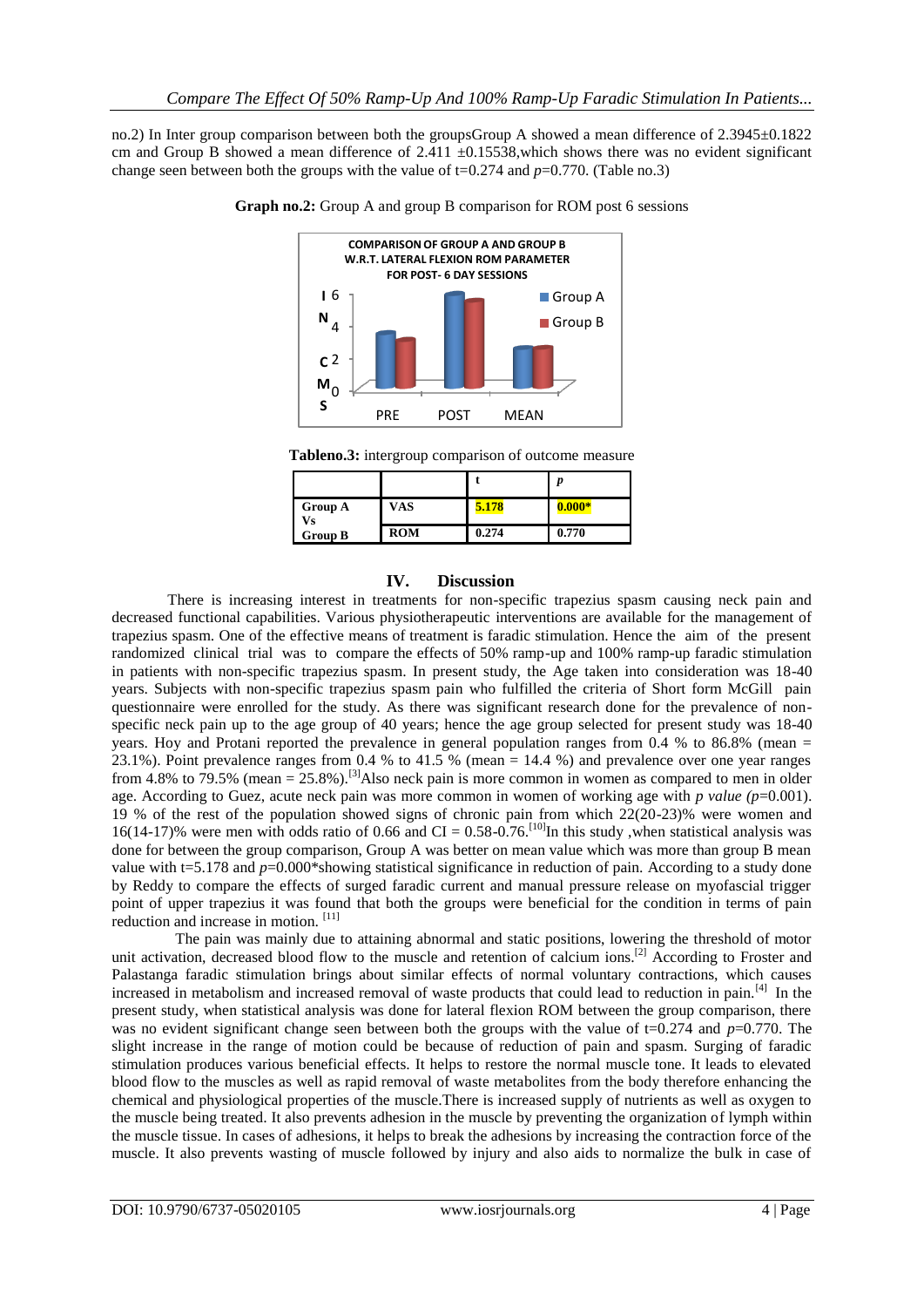no.2) In Inter group comparison between both the groupsGroup A showed a mean difference of 2.3945 $\pm$ 0.1822 cm and Group B showed a mean difference of  $2.411 \pm 0.15538$ , which shows there was no evident significant change seen between both the groups with the value of  $t=0.274$  and  $p=0.770$ . (Table no.3)



**Graph no.2:** Group A and group B comparison for ROM post 6 sessions

**Tableno.3:** intergroup comparison of outcome measure

| <b>Group A</b><br>√s | VAS        | 5.178 | $0.000*$ |
|----------------------|------------|-------|----------|
| <b>Group B</b>       | <b>ROM</b> | 0.274 | 0.770    |

#### **IV. Discussion**

There is increasing interest in treatments for non-specific trapezius spasm causing neck pain and decreased functional capabilities. Various physiotherapeutic interventions are available for the management of trapezius spasm. One of the effective means of treatment is faradic stimulation. Hence the aim of the present randomized clinical trial was to compare the effects of 50% ramp-up and 100% ramp-up faradic stimulation in patients with non-specific trapezius spasm. In present study, the Age taken into consideration was 18-40 years. Subjects with non-specific trapezius spasm pain who fulfilled the criteria of Short form McGill pain questionnaire were enrolled for the study. As there was significant research done for the prevalence of nonspecific neck pain up to the age group of 40 years; hence the age group selected for present study was 18-40 years. Hoy and Protani reported the prevalence in general population ranges from 0.4 % to 86.8% (mean = 23.1%). Point prevalence ranges from 0.4 % to 41.5 % (mean = 14.4 %) and prevalence over one year ranges from 4.8% to 79.5% (mean =  $25.8$ %).<sup>[3]</sup>Also neck pain is more common in women as compared to men in older age. According to Guez, acute neck pain was more common in women of working age with *p value (p*=0.001). 19 % of the rest of the population showed signs of chronic pain from which 22(20-23)% were women and 16(14-17)% were men with odds ratio of 0.66 and CI =  $0.58$ -0.76.<sup>[10]</sup>In this study, when statistical analysis was done for between the group comparison, Group A was better on mean value which was more than group B mean value with t=5.178 and *p*=0.000\*showing statistical significance in reduction of pain. According to a study done by Reddy to compare the effects of surged faradic current and manual pressure release on myofascial trigger point of upper trapezius it was found that both the groups were beneficial for the condition in terms of pain reduction and increase in motion. [11]

 The pain was mainly due to attaining abnormal and static positions, lowering the threshold of motor unit activation, decreased blood flow to the muscle and retention of calcium ions.<sup>[2]</sup> According to Froster and Palastanga faradic stimulation brings about similar effects of normal voluntary contractions, which causes increased in metabolism and increased removal of waste products that could lead to reduction in pain.[4] In the present study, when statistical analysis was done for lateral flexion ROM between the group comparison, there was no evident significant change seen between both the groups with the value of t=0.274 and *p*=0.770. The slight increase in the range of motion could be because of reduction of pain and spasm. Surging of faradic stimulation produces various beneficial effects. It helps to restore the normal muscle tone. It leads to elevated blood flow to the muscles as well as rapid removal of waste metabolites from the body therefore enhancing the chemical and physiological properties of the muscle.There is increased supply of nutrients as well as oxygen to the muscle being treated. It also prevents adhesion in the muscle by preventing the organization of lymph within the muscle tissue. In cases of adhesions, it helps to break the adhesions by increasing the contraction force of the muscle. It also prevents wasting of muscle followed by injury and also aids to normalize the bulk in case of